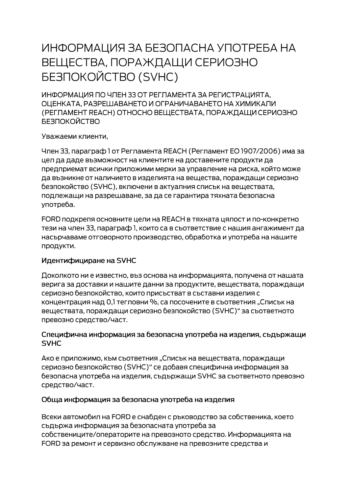# ИНФОРМАЦИЯ ЗА БЕЗОПАСНА УПОТРЕБА НА ВЕЩЕСТВА, ПОРАЖДАЩИ СЕРИОЗНО **БЕЗПОКОЙСТВО (SVHC)**

ИНФОРМАЦИЯ ПО ЧЛЕН 33 ОТ РЕГЛАМЕНТА ЗА РЕГИСТРАЦИЯТА. ОЦЕНКАТА, РАЗРЕШАВАНЕТО И ОГРАНИЧАВАНЕТО НА ХИМИКАЛИ (РЕГЛАМЕНТ REACH) ОТНОСНО ВЕЩЕСТВАТА, ПОРАЖДАЩИ СЕРИОЗНО **БЕЗПОКОЙСТВО** 

Уважаеми клиенти,

Член 33, параграф 1 от Регламента REACH (Регламент ЕО 1907/2006) има за цел да даде възможност на клиентите на доставените продукти да предприемат всички приложими мерки за управление на риска, който може да възникне от наличието в изделията на вещества, пораждащи сериозно безпокойство (SVHC), включени в актуалния списък на веществата, подлежащи на разрешаване, за да се гарантира тяхната безопасна употреба.

FORD подкрепя основните цели на REACH в тяхната цялост и по-конкретно тези на член 33, параграф 1, които са в съответствие с нашия ангажимент да насърчаваме отговорното производство, обработка и употреба на нашите продукти.

#### Идентифициране на SVHC

Доколкото ни е известно, въз основа на информацията, получена от нашата верига за доставки и нашите данни за продуктите, веществата, пораждащи сериозно безпокойство, които присъстват в съставни изделия с концентрация над 0,1 тегловни %, са посочените в съответния "Списък на веществата, пораждащи сериозно безпокойство (SVHC)" за съответното превозно средство/част.

#### Специфична информация за безопасна употреба на изделия, съдържащи **SVHC**

Ако е приложимо, към съответния "Списък на веществата, пораждащи сериозно безпокойство (SVHC)" се добавя специфична информация за безопасна употреба на изделия, съдържащи SVHC за съответното превозно средство/част.

#### Обща информация за безопасна употреба на изделия

Всеки автомобил на FORD е снабден с ръководство за собственика, което съдържа информация за безопасната употреба за собствениците/операторите на превозното средство. Информацията на FORD за ремонт и сервизно обслужване на превозните средства и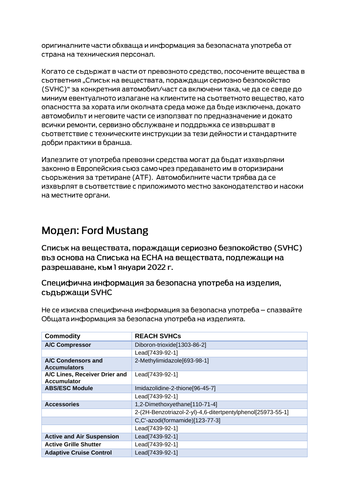оригиналните части обхваща и информация за безопасната употреба от страна на техническия персонал.

Когато се съдържат в части от превозното средство, посочените вещества в сьответния "Списък на вешествата, пораждащи сериозно безпокойство (SVHC)" за конкретния автомобил/част са включени така, че да се сведе до миниум евентуалното излагане на клиентите на съответното вещество, като опасността за хората или околната среда може да бъде изключена, докато автомобилът и неговите части се използват по предназначение и докато всички ремонти, сервизно обслужване и поддръжка се извършват в съответствие с техническите инструкции за тези дейности и стандартните добри практики в бранша.

Излезлите от употреба превозни средства могат да бъдат изхвърляни законно в Европейския съюз само чрез предаването им в оторизирани сьоръжения за третиране (АТЕ). Автомобилните части трябва да се изхвърлят в съответствие с приложимото местно законодателство и насоки на местните органи.

## Модел: Ford Mustang

Списък на веществата, пораждащи сериозно безпокойство (SVHC) въз основа на Списъка на ЕСНА на веществата, подлежащи на разрешаване, към 1 януари 2022 г.

### Специфична информация за безопасна употреба на изделия, съдържащи SVHC

Не се изисква специфична информация за безопасна употреба – спазвайте Общата информация за безопасна употреба на изделията.

| <b>Commodity</b>                                    | <b>REACH SVHCs</b>                                          |
|-----------------------------------------------------|-------------------------------------------------------------|
| <b>A/C Compressor</b>                               | Diboron-trioxide[1303-86-2]                                 |
|                                                     | Lead[7439-92-1]                                             |
| A/C Condensors and<br><b>Accumulators</b>           | 2-Methylimidazole[693-98-1]                                 |
| A/C Lines, Receiver Drier and<br><b>Accumulator</b> | Lead[7439-92-1]                                             |
| <b>ABS/ESC Module</b>                               | Imidazolidine-2-thione[96-45-7]                             |
|                                                     | Lead[7439-92-1]                                             |
| <b>Accessories</b>                                  | 1,2-Dimethoxyethane[110-71-4]                               |
|                                                     | 2-(2H-Benzotriazol-2-yl)-4,6-ditertpentylphenol[25973-55-1] |
|                                                     | C,C'-azodi(formamide)[123-77-3]                             |
|                                                     | Lead[7439-92-1]                                             |
| <b>Active and Air Suspension</b>                    | Lead[7439-92-1]                                             |
| <b>Active Grille Shutter</b>                        | Lead[7439-92-1]                                             |
| <b>Adaptive Cruise Control</b>                      | Lead[7439-92-1]                                             |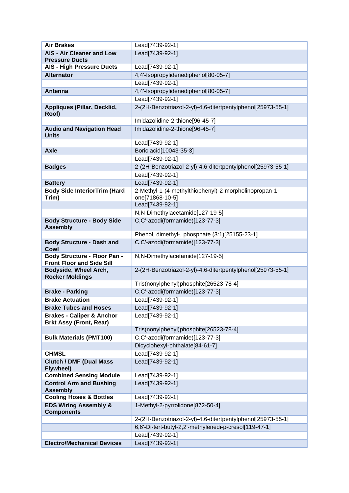| <b>Air Brakes</b>                                                      | Lead[7439-92-1]                                                          |
|------------------------------------------------------------------------|--------------------------------------------------------------------------|
| <b>AIS - Air Cleaner and Low</b>                                       | Lead[7439-92-1]                                                          |
| <b>Pressure Ducts</b>                                                  |                                                                          |
| <b>AIS - High Pressure Ducts</b>                                       | Lead[7439-92-1]                                                          |
| <b>Alternator</b>                                                      | 4,4'-Isopropylidenediphenol[80-05-7]                                     |
|                                                                        | Lead[7439-92-1]                                                          |
| Antenna                                                                | 4,4'-Isopropylidenediphenol[80-05-7]                                     |
|                                                                        | Lead[7439-92-1]                                                          |
| Appliques (Pillar, Decklid,<br>Roof)                                   | 2-(2H-Benzotriazol-2-yl)-4,6-ditertpentylphenol[25973-55-1]              |
|                                                                        | Imidazolidine-2-thione[96-45-7]                                          |
| <b>Audio and Navigation Head</b><br><b>Units</b>                       | Imidazolidine-2-thione[96-45-7]                                          |
|                                                                        | Lead[7439-92-1]                                                          |
| <b>Axle</b>                                                            | Boric acid[10043-35-3]                                                   |
|                                                                        | Lead[7439-92-1]                                                          |
| <b>Badges</b>                                                          | 2-(2H-Benzotriazol-2-yl)-4,6-ditertpentylphenol[25973-55-1]              |
|                                                                        | Lead[7439-92-1]                                                          |
| <b>Battery</b>                                                         | Lead[7439-92-1]                                                          |
| <b>Body Side InteriorTrim (Hard</b><br>Trim)                           | 2-Methyl-1-(4-methylthiophenyl)-2-morpholinopropan-1-<br>one[71868-10-5] |
|                                                                        | Lead[7439-92-1]                                                          |
|                                                                        | N,N-Dimethylacetamide[127-19-5]                                          |
| <b>Body Structure - Body Side</b><br><b>Assembly</b>                   | C,C'-azodi(formamide)[123-77-3]                                          |
|                                                                        | Phenol, dimethyl-, phosphate (3:1)[25155-23-1]                           |
| <b>Body Structure - Dash and</b><br>Cowl                               | C,C'-azodi(formamide)[123-77-3]                                          |
| Body Structure - Floor Pan -<br><b>Front Floor and Side Sill</b>       | N,N-Dimethylacetamide[127-19-5]                                          |
| Bodyside, Wheel Arch,<br><b>Rocker Moldings</b>                        | 2-(2H-Benzotriazol-2-yl)-4,6-ditertpentylphenol[25973-55-1]              |
|                                                                        | Tris(nonylphenyl)phosphite[26523-78-4]                                   |
| <b>Brake - Parking</b>                                                 | C,C'-azodi(formamide)[123-77-3]                                          |
| <b>Brake Actuation</b>                                                 | Lead[7439-92-1]                                                          |
| <b>Brake Tubes and Hoses</b>                                           | Lead[7439-92-1]                                                          |
| <b>Brakes - Caliper &amp; Anchor</b><br><b>Brkt Assy (Front, Rear)</b> | Lead[7439-92-1]                                                          |
|                                                                        | Tris(nonylphenyl)phosphite[26523-78-4]                                   |
| <b>Bulk Materials (PMT100)</b>                                         | C,C'-azodi(formamide)[123-77-3]                                          |
|                                                                        | Dicyclohexyl-phthalate[84-61-7]                                          |
| <b>CHMSL</b>                                                           | Lead[7439-92-1]                                                          |
| <b>Clutch / DMF (Dual Mass</b><br><b>Flywheel)</b>                     | Lead[7439-92-1]                                                          |
| <b>Combined Sensing Module</b>                                         | Lead[7439-92-1]                                                          |
| <b>Control Arm and Bushing</b>                                         | Lead[7439-92-1]                                                          |
| <b>Assembly</b>                                                        |                                                                          |
| <b>Cooling Hoses &amp; Bottles</b>                                     | Lead[7439-92-1]                                                          |
| <b>EDS Wiring Assembly &amp;</b><br><b>Components</b>                  | 1-Methyl-2-pyrrolidone[872-50-4]                                         |
|                                                                        | 2-(2H-Benzotriazol-2-yl)-4,6-ditertpentylphenol[25973-55-1]              |
|                                                                        | 6,6'-Di-tert-butyl-2,2'-methylenedi-p-cresol[119-47-1]                   |
|                                                                        | Lead[7439-92-1]                                                          |
| <b>Electro/Mechanical Devices</b>                                      | Lead[7439-92-1]                                                          |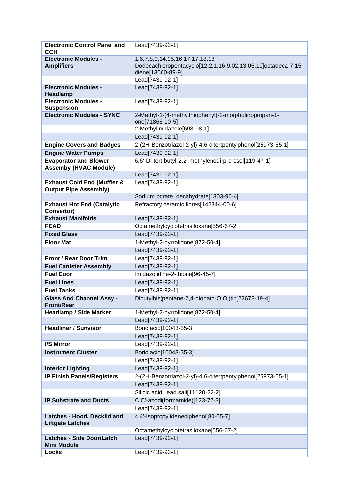| <b>Electronic Control Panel and</b>                    | Lead[7439-92-1]                                                                    |
|--------------------------------------------------------|------------------------------------------------------------------------------------|
| <b>CCH</b>                                             |                                                                                    |
| <b>Electronic Modules -</b>                            | 1,6,7,8,9,14,15,16,17,17,18,18-                                                    |
| <b>Amplifiers</b>                                      | Dodecachloropentacyclo[12.2.1.16,9.02,13.05,10]octadeca-7,15-<br>diene[13560-89-9] |
|                                                        | Lead[7439-92-1]                                                                    |
| <b>Electronic Modules -</b>                            | Lead[7439-92-1]                                                                    |
| Headlamp                                               |                                                                                    |
| <b>Electronic Modules -</b>                            | Lead[7439-92-1]                                                                    |
| <b>Suspension</b>                                      |                                                                                    |
| <b>Electronic Modules - SYNC</b>                       | 2-Methyl-1-(4-methylthiophenyl)-2-morpholinopropan-1-<br>one[71868-10-5]           |
|                                                        | 2-Methylimidazole[693-98-1]                                                        |
|                                                        | Lead[7439-92-1]                                                                    |
| <b>Engine Covers and Badges</b>                        | 2-(2H-Benzotriazol-2-yl)-4,6-ditertpentylphenol[25973-55-1]                        |
| <b>Engine Water Pumps</b>                              | Lead[7439-92-1]                                                                    |
| <b>Evaporator and Blower</b>                           | 6,6'-Di-tert-butyl-2,2'-methylenedi-p-cresol[119-47-1]                             |
| <b>Assemby (HVAC Module)</b>                           |                                                                                    |
|                                                        | Lead[7439-92-1]                                                                    |
| <b>Exhaust Cold End (Muffler &amp;</b>                 | Lead[7439-92-1]                                                                    |
| <b>Output Pipe Assembly)</b>                           |                                                                                    |
|                                                        | Sodium borate, decahydrate[1303-96-4]                                              |
| <b>Exhaust Hot End (Catalytic</b><br>Convertor)        | Refractory ceramic fibres[142844-00-6]                                             |
| <b>Exhaust Manifolds</b>                               | Lead[7439-92-1]                                                                    |
| <b>FEAD</b>                                            | Octamethylcyclotetrasiloxane[556-67-2]                                             |
| <b>Fixed Glass</b>                                     | Lead[7439-92-1]                                                                    |
| <b>Floor Mat</b>                                       | 1-Methyl-2-pyrrolidone[872-50-4]                                                   |
|                                                        | Lead[7439-92-1]                                                                    |
| <b>Front / Rear Door Trim</b>                          | Lead[7439-92-1]                                                                    |
| <b>Fuel Canister Assembly</b>                          | Lead[7439-92-1]                                                                    |
| <b>Fuel Door</b>                                       | Imidazolidine-2-thione[96-45-7]                                                    |
| <b>Fuel Lines</b>                                      | Lead[7439-92-1]                                                                    |
| <b>Fuel Tanks</b>                                      | Lead[7439-92-1]                                                                    |
| <b>Glass And Channel Assy -</b><br><b>Front/Rear</b>   | Dibutylbis(pentane-2,4-dionato-O,O')tin[22673-19-4]                                |
| <b>Headlamp / Side Marker</b>                          | 1-Methyl-2-pyrrolidone[872-50-4]                                                   |
|                                                        | Lead[7439-92-1]                                                                    |
| <b>Headliner / Sunvisor</b>                            | Boric acid[10043-35-3]                                                             |
|                                                        | Lead[7439-92-1]                                                                    |
| I/S Mirror                                             | Lead[7439-92-1]                                                                    |
| <b>Instrument Cluster</b>                              | Boric acid[10043-35-3]                                                             |
|                                                        | Lead[7439-92-1]                                                                    |
| <b>Interior Lighting</b>                               | Lead[7439-92-1]                                                                    |
| <b>IP Finish Panels/Registers</b>                      | 2-(2H-Benzotriazol-2-yl)-4,6-ditertpentylphenol[25973-55-1]                        |
|                                                        | Lead[7439-92-1]                                                                    |
|                                                        | Silicic acid, lead salt[11120-22-2]                                                |
| <b>IP Substrate and Ducts</b>                          | C,C'-azodi(formamide)[123-77-3]                                                    |
|                                                        | Lead[7439-92-1]                                                                    |
| Latches - Hood, Decklid and<br><b>Liftgate Latches</b> | 4,4'-Isopropylidenediphenol[80-05-7]                                               |
|                                                        | Octamethylcyclotetrasiloxane[556-67-2]                                             |
| <b>Latches - Side Door/Latch</b><br><b>Mini Module</b> | Lead[7439-92-1]                                                                    |
| Locks                                                  | Lead[7439-92-1]                                                                    |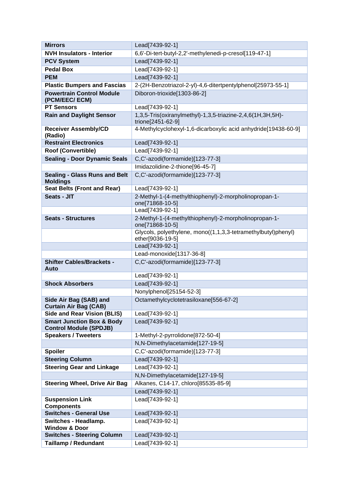| <b>Mirrors</b>                                                        | Lead[7439-92-1]                                                                   |
|-----------------------------------------------------------------------|-----------------------------------------------------------------------------------|
| <b>NVH Insulators - Interior</b>                                      | 6,6'-Di-tert-butyl-2,2'-methylenedi-p-cresol[119-47-1]                            |
| <b>PCV System</b>                                                     | Lead[7439-92-1]                                                                   |
| <b>Pedal Box</b>                                                      | Lead[7439-92-1]                                                                   |
| <b>PEM</b>                                                            | Lead[7439-92-1]                                                                   |
| <b>Plastic Bumpers and Fascias</b>                                    | 2-(2H-Benzotriazol-2-yl)-4,6-ditertpentylphenol[25973-55-1]                       |
| <b>Powertrain Control Module</b><br>(PCM/EEC/ ECM)                    | Diboron-trioxide[1303-86-2]                                                       |
| <b>PT Sensors</b>                                                     | Lead[7439-92-1]                                                                   |
| <b>Rain and Daylight Sensor</b>                                       | 1,3,5-Tris(oxiranylmethyl)-1,3,5-triazine-2,4,6(1H,3H,5H)-<br>trione[2451-62-9]   |
| <b>Receiver Assembly/CD</b><br>(Radio)                                | 4-Methylcyclohexyl-1,6-dicarboxylic acid anhydride[19438-60-9]                    |
| <b>Restraint Electronics</b>                                          | Lead[7439-92-1]                                                                   |
| <b>Roof (Convertible)</b>                                             | Lead[7439-92-1]                                                                   |
| <b>Sealing - Door Dynamic Seals</b>                                   | C,C'-azodi(formamide)[123-77-3]                                                   |
|                                                                       | Imidazolidine-2-thione[96-45-7]                                                   |
| <b>Sealing - Glass Runs and Belt</b><br><b>Moldings</b>               | C,C'-azodi(formamide)[123-77-3]                                                   |
| <b>Seat Belts (Front and Rear)</b>                                    | Lead[7439-92-1]                                                                   |
| <b>Seats - JIT</b>                                                    | 2-Methyl-1-(4-methylthiophenyl)-2-morpholinopropan-1-<br>one[71868-10-5]          |
|                                                                       | Lead[7439-92-1]                                                                   |
| <b>Seats - Structures</b>                                             | 2-Methyl-1-(4-methylthiophenyl)-2-morpholinopropan-1-<br>one[71868-10-5]          |
|                                                                       | Glycols, polyethylene, mono((1,1,3,3-tetramethylbutyl)phenyl)<br>ether[9036-19-5] |
|                                                                       | Lead[7439-92-1]                                                                   |
|                                                                       | Lead-monoxide[1317-36-8]                                                          |
| <b>Shifter Cables/Brackets -</b><br>Auto                              | C,C'-azodi(formamide)[123-77-3]                                                   |
|                                                                       | Lead[7439-92-1]                                                                   |
| <b>Shock Absorbers</b>                                                | Lead[7439-92-1]                                                                   |
|                                                                       | Nonylphenol[25154-52-3]                                                           |
| Side Air Bag (SAB) and<br><b>Curtain Air Bag (CAB)</b>                | Octamethylcyclotetrasiloxane[556-67-2]                                            |
| <b>Side and Rear Vision (BLIS)</b>                                    | Lead[7439-92-1]                                                                   |
| <b>Smart Junction Box &amp; Body</b><br><b>Control Module (SPDJB)</b> | Lead[7439-92-1]                                                                   |
| <b>Speakers / Tweeters</b>                                            | 1-Methyl-2-pyrrolidone[872-50-4]                                                  |
|                                                                       | N,N-Dimethylacetamide[127-19-5]                                                   |
| <b>Spoiler</b>                                                        | C,C'-azodi(formamide)[123-77-3]                                                   |
| <b>Steering Column</b>                                                | Lead[7439-92-1]                                                                   |
| <b>Steering Gear and Linkage</b>                                      | Lead[7439-92-1]                                                                   |
|                                                                       | N,N-Dimethylacetamide[127-19-5]                                                   |
| <b>Steering Wheel, Drive Air Bag</b>                                  | Alkanes, C14-17, chloro[85535-85-9]                                               |
|                                                                       | Lead[7439-92-1]                                                                   |
| <b>Suspension Link</b><br><b>Components</b>                           | Lead[7439-92-1]                                                                   |
| <b>Switches - General Use</b>                                         | Lead[7439-92-1]                                                                   |
| Switches - Headlamp.<br><b>Window &amp; Door</b>                      | Lead[7439-92-1]                                                                   |
| <b>Switches - Steering Column</b>                                     | Lead[7439-92-1]                                                                   |
| <b>Taillamp / Redundant</b>                                           | Lead[7439-92-1]                                                                   |